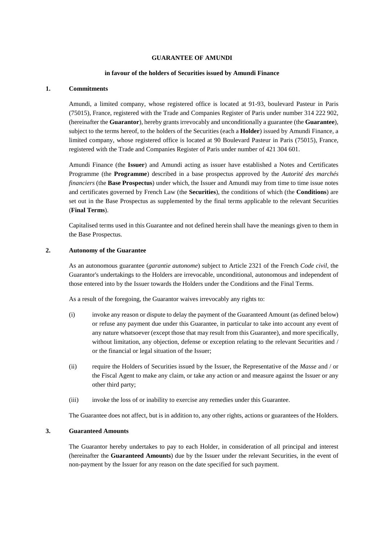## **GUARANTEE OF AMUNDI**

### **in favour of the holders of Securities issued by Amundi Finance**

## **1. Commitments**

Amundi, a limited company, whose registered office is located at 91-93, boulevard Pasteur in Paris (75015), France, registered with the Trade and Companies Register of Paris under number 314 222 902, (hereinafter the **Guarantor**), hereby grants irrevocably and unconditionally a guarantee (the **Guarantee**), subject to the terms hereof, to the holders of the Securities (each a **Holder**) issued by Amundi Finance, a limited company, whose registered office is located at 90 Boulevard Pasteur in Paris (75015), France, registered with the Trade and Companies Register of Paris under number of 421 304 601.

Amundi Finance (the **Issuer**) and Amundi acting as issuer have established a Notes and Certificates Programme (the **Programme**) described in a base prospectus approved by the *Autorité des marchés financiers* (the **Base Prospectus**) under which, the Issuer and Amundi may from time to time issue notes and certificates governed by French Law (the **Securities**), the conditions of which (the **Conditions**) are set out in the Base Prospectus as supplemented by the final terms applicable to the relevant Securities (**Final Terms**).

Capitalised terms used in this Guarantee and not defined herein shall have the meanings given to them in the Base Prospectus.

## **2. Autonomy of the Guarantee**

As an autonomous guarantee (*garantie autonome*) subject to Article 2321 of the French *Code civil*, the Guarantor's undertakings to the Holders are irrevocable, unconditional, autonomous and independent of those entered into by the Issuer towards the Holders under the Conditions and the Final Terms.

As a result of the foregoing, the Guarantor waives irrevocably any rights to:

- (i) invoke any reason or dispute to delay the payment of the Guaranteed Amount (as defined below) or refuse any payment due under this Guarantee, in particular to take into account any event of any nature whatsoever (except those that may result from this Guarantee), and more specifically, without limitation, any objection, defense or exception relating to the relevant Securities and / or the financial or legal situation of the Issuer;
- (ii) require the Holders of Securities issued by the Issuer, the Representative of the *Masse* and / or the Fiscal Agent to make any claim, or take any action or and measure against the Issuer or any other third party;
- (iii) invoke the loss of or inability to exercise any remedies under this Guarantee.

The Guarantee does not affect, but is in addition to, any other rights, actions or guarantees of the Holders.

# **3. Guaranteed Amounts**

The Guarantor hereby undertakes to pay to each Holder, in consideration of all principal and interest (hereinafter the **Guaranteed Amounts**) due by the Issuer under the relevant Securities, in the event of non-payment by the Issuer for any reason on the date specified for such payment.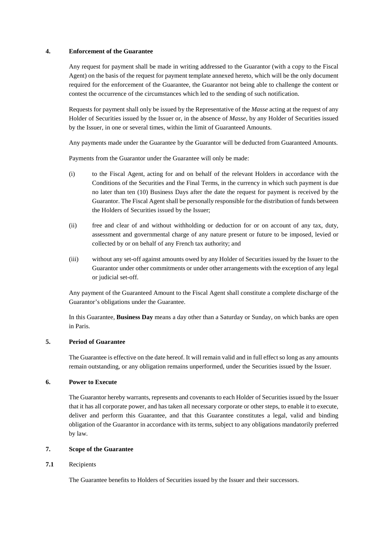## **4. Enforcement of the Guarantee**

Any request for payment shall be made in writing addressed to the Guarantor (with a copy to the Fiscal Agent) on the basis of the request for payment template annexed hereto, which will be the only document required for the enforcement of the Guarantee, the Guarantor not being able to challenge the content or contest the occurrence of the circumstances which led to the sending of such notification.

Requests for payment shall only be issued by the Representative of the *Masse* acting at the request of any Holder of Securities issued by the Issuer or, in the absence of *Masse*, by any Holder of Securities issued by the Issuer, in one or several times, within the limit of Guaranteed Amounts.

Any payments made under the Guarantee by the Guarantor will be deducted from Guaranteed Amounts.

Payments from the Guarantor under the Guarantee will only be made:

- (i) to the Fiscal Agent, acting for and on behalf of the relevant Holders in accordance with the Conditions of the Securities and the Final Terms, in the currency in which such payment is due no later than ten (10) Business Days after the date the request for payment is received by the Guarantor. The Fiscal Agent shall be personally responsible for the distribution of funds between the Holders of Securities issued by the Issuer;
- (ii) free and clear of and without withholding or deduction for or on account of any tax, duty, assessment and governmental charge of any nature present or future to be imposed, levied or collected by or on behalf of any French tax authority; and
- (iii) without any set-off against amounts owed by any Holder of Securities issued by the Issuer to the Guarantor under other commitments or under other arrangements with the exception of any legal or judicial set-off.

Any payment of the Guaranteed Amount to the Fiscal Agent shall constitute a complete discharge of the Guarantor's obligations under the Guarantee.

In this Guarantee, **Business Day** means a day other than a Saturday or Sunday, on which banks are open in Paris.

# **5. Period of Guarantee**

The Guarantee is effective on the date hereof. It will remain valid and in full effect so long as any amounts remain outstanding, or any obligation remains unperformed, under the Securities issued by the Issuer.

### **6. Power to Execute**

The Guarantor hereby warrants, represents and covenants to each Holder of Securities issued by the Issuer that it has all corporate power, and has taken all necessary corporate or other steps, to enable it to execute, deliver and perform this Guarantee, and that this Guarantee constitutes a legal, valid and binding obligation of the Guarantor in accordance with its terms, subject to any obligations mandatorily preferred by law.

# **7. Scope of the Guarantee**

# **7.1** Recipients

The Guarantee benefits to Holders of Securities issued by the Issuer and their successors.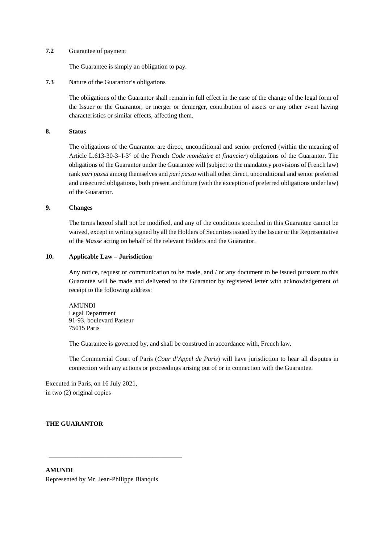## **7.2** Guarantee of payment

The Guarantee is simply an obligation to pay.

**7.3** Nature of the Guarantor's obligations

The obligations of the Guarantor shall remain in full effect in the case of the change of the legal form of the Issuer or the Guarantor, or merger or demerger, contribution of assets or any other event having characteristics or similar effects, affecting them.

# **8. Status**

The obligations of the Guarantor are direct, unconditional and senior preferred (within the meaning of Article L.613-30-3–I-3° of the French *Code monétaire et financier*) obligations of the Guarantor. The obligations of the Guarantor under the Guarantee will (subject to the mandatory provisions of French law) rank *pari passu* among themselves and *pari passu* with all other direct, unconditional and senior preferred and unsecured obligations, both present and future (with the exception of preferred obligations under law) of the Guarantor.

## **9. Changes**

The terms hereof shall not be modified, and any of the conditions specified in this Guarantee cannot be waived, except in writing signed by all the Holders of Securities issued by the Issuer or the Representative of the *Masse* acting on behalf of the relevant Holders and the Guarantor.

## **10. Applicable Law – Jurisdiction**

Any notice, request or communication to be made, and / or any document to be issued pursuant to this Guarantee will be made and delivered to the Guarantor by registered letter with acknowledgement of receipt to the following address:

AMUNDI Legal Department 91-93, boulevard Pasteur 75015 Paris

The Guarantee is governed by, and shall be construed in accordance with, French law.

The Commercial Court of Paris (*Cour d'Appel de Paris*) will have jurisdiction to hear all disputes in connection with any actions or proceedings arising out of or in connection with the Guarantee.

Executed in Paris, on 16 July 2021, in two (2) original copies

# **THE GUARANTOR**

**AMUNDI**  Represented by Mr. Jean-Philippe Bianquis

\_\_\_\_\_\_\_\_\_\_\_\_\_\_\_\_\_\_\_\_\_\_\_\_\_\_\_\_\_\_\_\_\_\_\_\_\_\_\_\_\_